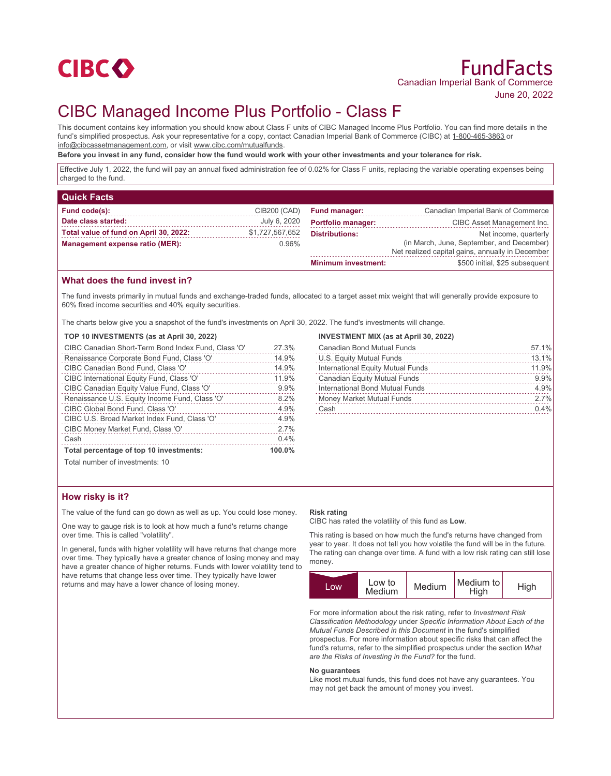

# CIBC Managed Income Plus Portfolio - Class F

This document contains key information you should know about Class F units of CIBC Managed Income Plus Portfolio. You can find more details in the fund's simplified prospectus. Ask your representative for a copy, contact Canadian Imperial Bank of Commerce (CIBC) at 1-800-465-3863 or info@cibcassetmanagement.com, or visit www.cibc.com/mutualfunds.

**Before you invest in any fund, consider how the fund would work with your other investments and your tolerance for risk.**

Effective July 1, 2022, the fund will pay an annual fixed administration fee of 0.02% for Class F units, replacing the variable operating expenses being charged to the fund.

| <b>Quick Facts</b>                     |                 |                            |                                                  |
|----------------------------------------|-----------------|----------------------------|--------------------------------------------------|
| Fund code(s):                          | CIB200 (CAD)    | <b>Fund manager:</b>       | Canadian Imperial Bank of Commerce               |
| Date class started:                    | July 6, 2020    | <b>Portfolio manager:</b>  | CIBC Asset Management Inc.                       |
| Total value of fund on April 30, 2022: | \$1,727,567,652 | <b>Distributions:</b>      | Net income, quarterly                            |
| Management expense ratio (MER):        | $0.96\%$        |                            | (in March, June, September, and December)        |
|                                        |                 |                            | Net realized capital gains, annually in December |
|                                        |                 | <b>Minimum investment:</b> | \$500 initial, \$25 subsequent                   |

## **What does the fund invest in?**

The fund invests primarily in mutual funds and exchange-traded funds, allocated to a target asset mix weight that will generally provide exposure to 60% fixed income securities and 40% equity securities.

The charts below give you a snapshot of the fund's investments on April 30, 2022. The fund's investments will change.

#### **TOP 10 INVESTMENTS (as at April 30, 2022)**

| Total number of investments: 10                     |        |
|-----------------------------------------------------|--------|
| Total percentage of top 10 investments:             | 100.0% |
| Cash                                                | 0.4%   |
| CIBC Money Market Fund, Class 'O'                   | 2.7%   |
| CIBC U.S. Broad Market Index Fund, Class 'O'        | 4.9%   |
| CIBC Global Bond Fund, Class 'O'                    | 4.9%   |
| Renaissance U.S. Equity Income Fund, Class 'O'      | 8.2%   |
| CIBC Canadian Equity Value Fund, Class 'O'          | 9.9%   |
| CIBC International Equity Fund, Class 'O'           | 11.9%  |
| CIBC Canadian Bond Fund, Class 'O'                  | 14.9%  |
| Renaissance Corporate Bond Fund, Class 'O'          | 14.9%  |
| CIBC Canadian Short-Term Bond Index Fund, Class 'O' | 27.3%  |

## **INVESTMENT MIX (as at April 30, 2022)**

| <b>Canadian Bond Mutual Funds</b>   | 57.1% |
|-------------------------------------|-------|
| U.S. Equity Mutual Funds            | 13.1% |
| International Equity Mutual Funds   | 11.9% |
| <b>Canadian Equity Mutual Funds</b> | 9.9%  |
| International Bond Mutual Funds     | 4.9%  |
| Money Market Mutual Funds           | 2.7%  |
| Cash                                | 0.4%  |
|                                     |       |

Total number of investments: 10

### **How risky is it?**

The value of the fund can go down as well as up. You could lose money.

One way to gauge risk is to look at how much a fund's returns change over time. This is called "volatility".

In general, funds with higher volatility will have returns that change more over time. They typically have a greater chance of losing money and may have a greater chance of higher returns. Funds with lower volatility tend to have returns that change less over time. They typically have lower returns and may have a lower chance of losing money.

#### **Risk rating**

CIBC has rated the volatility of this fund as **Low**.

This rating is based on how much the fund's returns have changed from year to year. It does not tell you how volatile the fund will be in the future. The rating can change over time. A fund with a low risk rating can still lose money.



For more information about the risk rating, refer to *Investment Risk Classification Methodology* under *Specific Information About Each of the Mutual Funds Described in this Document* in the fund's simplified prospectus. For more information about specific risks that can affect the fund's returns, refer to the simplified prospectus under the section *What are the Risks of Investing in the Fund?* for the fund.

#### **No guarantees**

Like most mutual funds, this fund does not have any guarantees. You may not get back the amount of money you invest.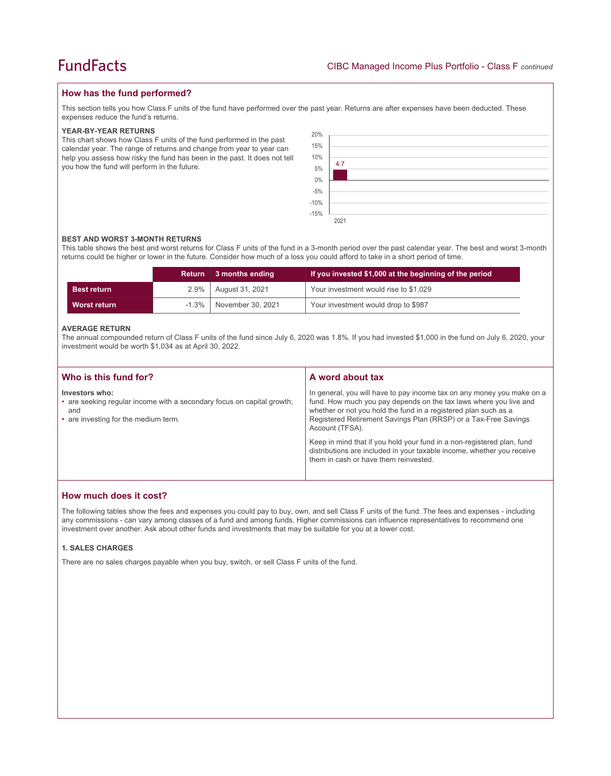## **How has the fund performed?**

This section tells you how Class F units of the fund have performed over the past year. Returns are after expenses have been deducted. These expenses reduce the fund's returns.

#### **YEAR-BY-YEAR RETURNS**

This chart shows how Class F units of the fund performed in the past calendar year. The range of returns and change from year to year can help you assess how risky the fund has been in the past. It does not tell you how the fund will perform in the future.

| 20%<br>15%<br>10% | 4.7  |
|-------------------|------|
| $5\%$             |      |
| $0\%$             |      |
| $-5\%$<br>$-10\%$ |      |
| $-15%$            |      |
|                   | 2021 |

#### **BEST AND WORST 3-MONTH RETURNS**

This table shows the best and worst returns for Class F units of the fund in a 3-month period over the past calendar year. The best and worst 3-month returns could be higher or lower in the future. Consider how much of a loss you could afford to take in a short period of time.

|                    | <b>Return</b> | 3 months ending   | If you invested \$1,000 at the beginning of the period |
|--------------------|---------------|-------------------|--------------------------------------------------------|
| <b>Best return</b> | $2.9\%$       | August 31, 2021   | Your investment would rise to \$1,029                  |
| Worst return       | $-1.3\%$      | November 30, 2021 | Your investment would drop to \$987                    |

#### **AVERAGE RETURN**

The annual compounded return of Class F units of the fund since July 6, 2020 was 1.8%. If you had invested \$1,000 in the fund on July 6, 2020, your investment would be worth \$1,034 as at April 30, 2022.

| Who is this fund for?                                                                                                                   | A word about tax                                                                                                                                                                                                                                                                                     |
|-----------------------------------------------------------------------------------------------------------------------------------------|------------------------------------------------------------------------------------------------------------------------------------------------------------------------------------------------------------------------------------------------------------------------------------------------------|
| Investors who:<br>• are seeking regular income with a secondary focus on capital growth;<br>and<br>• are investing for the medium term. | In general, you will have to pay income tax on any money you make on a<br>fund. How much you pay depends on the tax laws where you live and<br>whether or not you hold the fund in a registered plan such as a<br>Registered Retirement Savings Plan (RRSP) or a Tax-Free Savings<br>Account (TFSA). |
|                                                                                                                                         | Keep in mind that if you hold your fund in a non-registered plan, fund<br>distributions are included in your taxable income, whether you receive<br>them in cash or have them reinvested.                                                                                                            |

## **How much does it cost?**

The following tables show the fees and expenses you could pay to buy, own, and sell Class F units of the fund. The fees and expenses - including any commissions - can vary among classes of a fund and among funds. Higher commissions can influence representatives to recommend one investment over another. Ask about other funds and investments that may be suitable for you at a lower cost.

#### **1. SALES CHARGES**

There are no sales charges payable when you buy, switch, or sell Class F units of the fund.